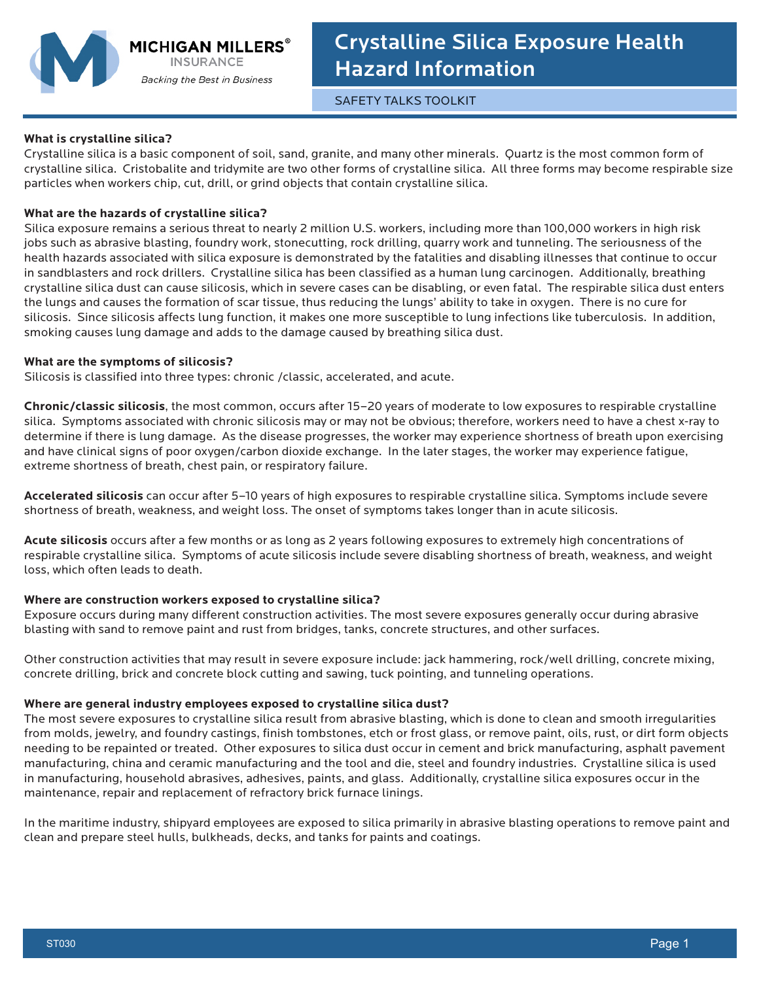

SAFETY TALKS TOOLKIT

## **What is crystalline silica?**

Crystalline silica is a basic component of soil, sand, granite, and many other minerals. Quartz is the most common form of crystalline silica. Cristobalite and tridymite are two other forms of crystalline silica. All three forms may become respirable size particles when workers chip, cut, drill, or grind objects that contain crystalline silica.

# **What are the hazards of crystalline silica?**

Silica exposure remains a serious threat to nearly 2 million U.S. workers, including more than 100,000 workers in high risk jobs such as abrasive blasting, foundry work, stonecutting, rock drilling, quarry work and tunneling. The seriousness of the health hazards associated with silica exposure is demonstrated by the fatalities and disabling illnesses that continue to occur in sandblasters and rock drillers. Crystalline silica has been classified as a human lung carcinogen. Additionally, breathing crystalline silica dust can cause silicosis, which in severe cases can be disabling, or even fatal. The respirable silica dust enters the lungs and causes the formation of scar tissue, thus reducing the lungs' ability to take in oxygen. There is no cure for silicosis. Since silicosis affects lung function, it makes one more susceptible to lung infections like tuberculosis. In addition, smoking causes lung damage and adds to the damage caused by breathing silica dust.

## **What are the symptoms of silicosis?**

Silicosis is classified into three types: chronic /classic, accelerated, and acute.

**Chronic/classic silicosis**, the most common, occurs after 15–20 years of moderate to low exposures to respirable crystalline silica. Symptoms associated with chronic silicosis may or may not be obvious; therefore, workers need to have a chest x-ray to determine if there is lung damage. As the disease progresses, the worker may experience shortness of breath upon exercising and have clinical signs of poor oxygen/carbon dioxide exchange. In the later stages, the worker may experience fatigue, extreme shortness of breath, chest pain, or respiratory failure.

**Accelerated silicosis** can occur after 5–10 years of high exposures to respirable crystalline silica. Symptoms include severe shortness of breath, weakness, and weight loss. The onset of symptoms takes longer than in acute silicosis.

**Acute silicosis** occurs after a few months or as long as 2 years following exposures to extremely high concentrations of respirable crystalline silica. Symptoms of acute silicosis include severe disabling shortness of breath, weakness, and weight loss, which often leads to death.

## **Where are construction workers exposed to crystalline silica?**

Exposure occurs during many different construction activities. The most severe exposures generally occur during abrasive blasting with sand to remove paint and rust from bridges, tanks, concrete structures, and other surfaces.

Other construction activities that may result in severe exposure include: jack hammering, rock/well drilling, concrete mixing, concrete drilling, brick and concrete block cutting and sawing, tuck pointing, and tunneling operations.

## **Where are general industry employees exposed to crystalline silica dust?**

The most severe exposures to crystalline silica result from abrasive blasting, which is done to clean and smooth irregularities from molds, jewelry, and foundry castings, finish tombstones, etch or frost glass, or remove paint, oils, rust, or dirt form objects needing to be repainted or treated. Other exposures to silica dust occur in cement and brick manufacturing, asphalt pavement manufacturing, china and ceramic manufacturing and the tool and die, steel and foundry industries. Crystalline silica is used in manufacturing, household abrasives, adhesives, paints, and glass. Additionally, crystalline silica exposures occur in the maintenance, repair and replacement of refractory brick furnace linings.

In the maritime industry, shipyard employees are exposed to silica primarily in abrasive blasting operations to remove paint and clean and prepare steel hulls, bulkheads, decks, and tanks for paints and coatings.